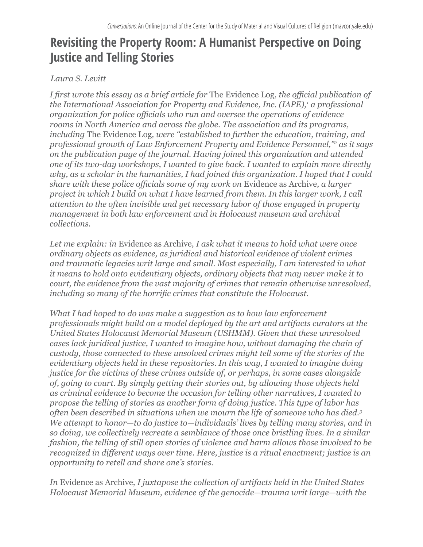# **Revisiting the Property Room: A Humanist Perspective on Doing Justice and Telling Stories**

#### *Laura S. Levitt*

*I first wrote this essay as a brief article for* The Evidence Log*, the official publication of the International Association for Property and Evidence, Inc. (IAPE),<sup>1</sup> a professional organization for police officials who run and oversee the operations of evidence rooms in North America and across the globe. The association and its programs, including* The Evidence Log*, were "established to further the education, training, and professional growth of Law Enforcement Property and Evidence Personnel,"<sup>2</sup> as it says on the publication page of the journal. Having joined this organization and attended one of its two-day workshops, I wanted to give back. I wanted to explain more directly why, as a scholar in the humanities, I had joined this organization. I hoped that I could share with these police officials some of my work on* Evidence as Archive*, a larger project in which I build on what I have learned from them. In this larger work, I call attention to the often invisible and yet necessary labor of those engaged in property management in both law enforcement and in Holocaust museum and archival collections.*

*Let me explain: in* Evidence as Archive*, I ask what it means to hold what were once ordinary objects as evidence, as juridical and historical evidence of violent crimes and traumatic legacies writ large and small. Most especially, I am interested in what it means to hold onto evidentiary objects, ordinary objects that may never make it to court, the evidence from the vast majority of crimes that remain otherwise unresolved, including so many of the horrific crimes that constitute the Holocaust.* 

*What I had hoped to do was make a suggestion as to how law enforcement professionals might build on a model deployed by the art and artifacts curators at the United States Holocaust Memorial Museum (USHMM). Given that these unresolved cases lack juridical justice, I wanted to imagine how, without damaging the chain of custody, those connected to these unsolved crimes might tell some of the stories of the evidentiary objects held in these repositories. In this way, I wanted to imagine doing justice for the victims of these crimes outside of, or perhaps, in some cases alongside of, going to court. By simply getting their stories out, by allowing those objects held as criminal evidence to become the occasion for telling other narratives, I wanted to propose the telling of stories as another form of doing justice. This type of labor has often been described in situations when we mourn the life of someone who has died.<sup>3</sup> We attempt to honor—to do justice to—individuals' lives by telling many stories, and in so doing, we collectively recreate a semblance of those once bristling lives. In a similar fashion, the telling of still open stories of violence and harm allows those involved to be recognized in different ways over time. Here, justice is a ritual enactment; justice is an opportunity to retell and share one's stories.*

*In* Evidence as Archive*, I juxtapose the collection of artifacts held in the United States Holocaust Memorial Museum, evidence of the genocide—trauma writ large—with the*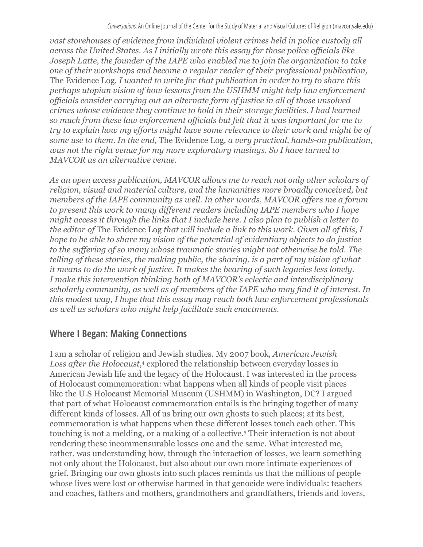*vast storehouses of evidence from individual violent crimes held in police custody all across the United States. As I initially wrote this essay for those police officials like Joseph Latte, the founder of the IAPE who enabled me to join the organization to take one of their workshops and become a regular reader of their professional publication,*  The Evidence Log*, I wanted to write for that publication in order to try to share this perhaps utopian vision of how lessons from the USHMM might help law enforcement officials consider carrying out an alternate form of justice in all of those unsolved crimes whose evidence they continue to hold in their storage facilities. I had learned so much from these law enforcement officials but felt that it was important for me to try to explain how my efforts might have some relevance to their work and might be of some use to them. In the end,* The Evidence Log*, a very practical, hands-on publication, was not the right venue for my more exploratory musings. So I have turned to MAVCOR as an alternative venue.*

As an open access publication, MAVCOR allows me to reach not only other scholars of *religion, visual and material culture, and the humanities more broadly conceived, but members of the IAPE community as well. In other words, MAVCOR offers me a forum to present this work to many different readers including IAPE members who I hope might access it through the links that I include here. I also plan to publish a letter to the editor of* The Evidence Log *that will include a link to this work. Given all of this, I hope to be able to share my vision of the potential of evidentiary objects to do justice to the suffering of so many whose traumatic stories might not otherwise be told. The telling of these stories, the making public, the sharing, is a part of my vision of what it means to do the work of justice. It makes the bearing of such legacies less lonely. I make this intervention thinking both of MAVCOR's eclectic and interdisciplinary scholarly community, as well as of members of the IAPE who may find it of interest. In this modest way, I hope that this essay may reach both law enforcement professionals as well as scholars who might help facilitate such enactments.*

#### **Where I Began: Making Connections**

I am a scholar of religion and Jewish studies. My 2007 book, *American Jewish*  Loss after the Holocaust,<sup>4</sup> explored the relationship between everyday losses in American Jewish life and the legacy of the Holocaust. I was interested in the process of Holocaust commemoration: what happens when all kinds of people visit places like the U.S Holocaust Memorial Museum (USHMM) in Washington, DC? I argued that part of what Holocaust commemoration entails is the bringing together of many different kinds of losses. All of us bring our own ghosts to such places; at its best, commemoration is what happens when these different losses touch each other. This touching is not a melding, or a making of a collective.5 Their interaction is not about rendering these incommensurable losses one and the same. What interested me, rather, was understanding how, through the interaction of losses, we learn something not only about the Holocaust, but also about our own more intimate experiences of grief. Bringing our own ghosts into such places reminds us that the millions of people whose lives were lost or otherwise harmed in that genocide were individuals: teachers and coaches, fathers and mothers, grandmothers and grandfathers, friends and lovers,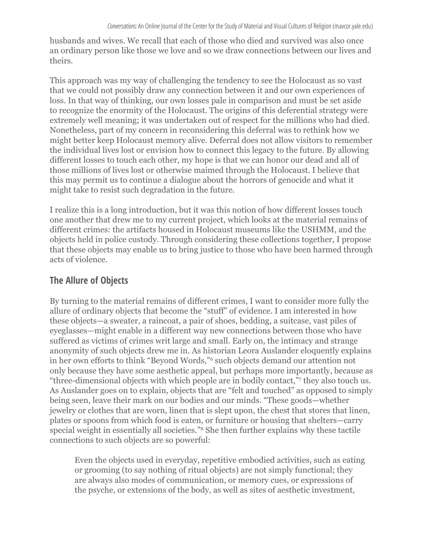husbands and wives. We recall that each of those who died and survived was also once an ordinary person like those we love and so we draw connections between our lives and theirs.

This approach was my way of challenging the tendency to see the Holocaust as so vast that we could not possibly draw any connection between it and our own experiences of loss. In that way of thinking, our own losses pale in comparison and must be set aside to recognize the enormity of the Holocaust. The origins of this deferential strategy were extremely well meaning; it was undertaken out of respect for the millions who had died. Nonetheless, part of my concern in reconsidering this deferral was to rethink how we might better keep Holocaust memory alive. Deferral does not allow visitors to remember the individual lives lost or envision how to connect this legacy to the future. By allowing different losses to touch each other, my hope is that we can honor our dead and all of those millions of lives lost or otherwise maimed through the Holocaust. I believe that this may permit us to continue a dialogue about the horrors of genocide and what it might take to resist such degradation in the future.

I realize this is a long introduction, but it was this notion of how different losses touch one another that drew me to my current project, which looks at the material remains of different crimes: the artifacts housed in Holocaust museums like the USHMM, and the objects held in police custody. Through considering these collections together, I propose that these objects may enable us to bring justice to those who have been harmed through acts of violence.

### **The Allure of Objects**

By turning to the material remains of different crimes, I want to consider more fully the allure of ordinary objects that become the "stuff" of evidence. I am interested in how these objects—a sweater, a raincoat, a pair of shoes, bedding, a suitcase, vast piles of eyeglasses—might enable in a different way new connections between those who have suffered as victims of crimes writ large and small. Early on, the intimacy and strange anonymity of such objects drew me in. As historian Leora Auslander eloquently explains in her own efforts to think "Beyond Words,"<sup>6</sup> such objects demand our attention not only because they have some aesthetic appeal, but perhaps more importantly, because as "three-dimensional objects with which people are in bodily contact,"<sup>7</sup> they also touch us. As Auslander goes on to explain, objects that are "felt and touched" as opposed to simply being seen, leave their mark on our bodies and our minds. "These goods—whether jewelry or clothes that are worn, linen that is slept upon, the chest that stores that linen, plates or spoons from which food is eaten, or furniture or housing that shelters—carry special weight in essentially all societies."8 She then further explains why these tactile connections to such objects are so powerful:

Even the objects used in everyday, repetitive embodied activities, such as eating or grooming (to say nothing of ritual objects) are not simply functional; they are always also modes of communication, or memory cues, or expressions of the psyche, or extensions of the body, as well as sites of aesthetic investment,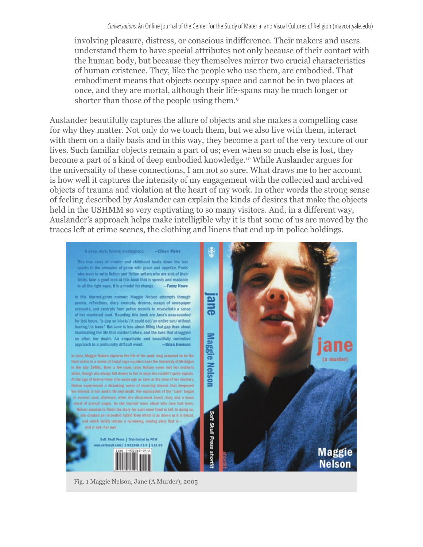involving pleasure, distress, or conscious indifference. Their makers and users understand them to have special attributes not only because of their contact with the human body, but because they themselves mirror two crucial characteristics of human existence. They, like the people who use them, are embodied. That embodiment means that objects occupy space and cannot be in two places at once, and they are mortal, although their life-spans may be much longer or shorter than those of the people using them.<sup>9</sup>

Auslander beautifully captures the allure of objects and she makes a compelling case for why they matter. Not only do we touch them, but we also live with them, interact with them on a daily basis and in this way, they become a part of the very texture of our lives. Such familiar objects remain a part of us; even when so much else is lost, they become a part of a kind of deep embodied knowledge.<sup>10</sup> While Auslander argues for the universality of these connections, I am not so sure. What draws me to her account is how well it captures the intensity of my engagement with the collected and archived objects of trauma and violation at the heart of my work. In other words the strong sense of feeling described by Auslander can explain the kinds of desires that make the objects held in the USHMM so very captivating to so many visitors. And, in a different way, Auslander's approach helps make intelligible why it is that some of us are moved by the traces left at crime scenes, the clothing and linens that end up in police holdings.



Fig. 1 Maggie Nelson, Jane (A Murder), 2005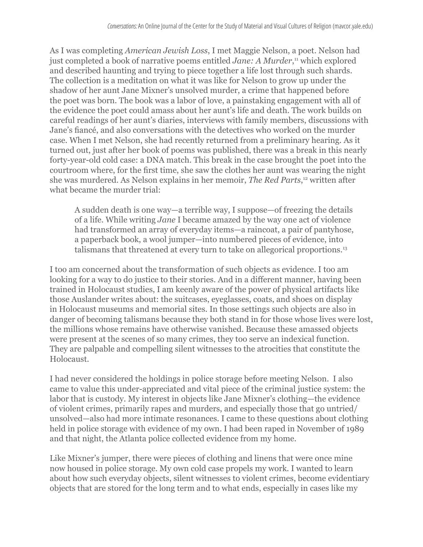As I was completing *American Jewish Loss*, I met Maggie Nelson, a poet. Nelson had just completed a book of narrative poems entitled *Jane: A Murder*, 11 which explored and described haunting and trying to piece together a life lost through such shards. The collection is a meditation on what it was like for Nelson to grow up under the shadow of her aunt Jane Mixner's unsolved murder, a crime that happened before the poet was born. The book was a labor of love, a painstaking engagement with all of the evidence the poet could amass about her aunt's life and death. The work builds on careful readings of her aunt's diaries, interviews with family members, discussions with Jane's fiancé, and also conversations with the detectives who worked on the murder case. When I met Nelson, she had recently returned from a preliminary hearing. As it turned out, just after her book of poems was published, there was a break in this nearly forty-year-old cold case: a DNA match. This break in the case brought the poet into the courtroom where, for the first time, she saw the clothes her aunt was wearing the night she was murdered. As Nelson explains in her memoir, *The Red Parts*, 12 written after what became the murder trial:

A sudden death is one way—a terrible way, I suppose—of freezing the details of a life. While writing *Jane* I became amazed by the way one act of violence had transformed an array of everyday items—a raincoat, a pair of pantyhose, a paperback book, a wool jumper—into numbered pieces of evidence, into talismans that threatened at every turn to take on allegorical proportions.<sup>13</sup>

I too am concerned about the transformation of such objects as evidence. I too am looking for a way to do justice to their stories. And in a different manner, having been trained in Holocaust studies, I am keenly aware of the power of physical artifacts like those Auslander writes about: the suitcases, eyeglasses, coats, and shoes on display in Holocaust museums and memorial sites. In those settings such objects are also in danger of becoming talismans because they both stand in for those whose lives were lost, the millions whose remains have otherwise vanished. Because these amassed objects were present at the scenes of so many crimes, they too serve an indexical function. They are palpable and compelling silent witnesses to the atrocities that constitute the Holocaust.

I had never considered the holdings in police storage before meeting Nelson. I also came to value this under-appreciated and vital piece of the criminal justice system: the labor that is custody. My interest in objects like Jane Mixner's clothing—the evidence of violent crimes, primarily rapes and murders, and especially those that go untried/ unsolved—also had more intimate resonances. I came to these questions about clothing held in police storage with evidence of my own. I had been raped in November of 1989 and that night, the Atlanta police collected evidence from my home.

Like Mixner's jumper, there were pieces of clothing and linens that were once mine now housed in police storage. My own cold case propels my work. I wanted to learn about how such everyday objects, silent witnesses to violent crimes, become evidentiary objects that are stored for the long term and to what ends, especially in cases like my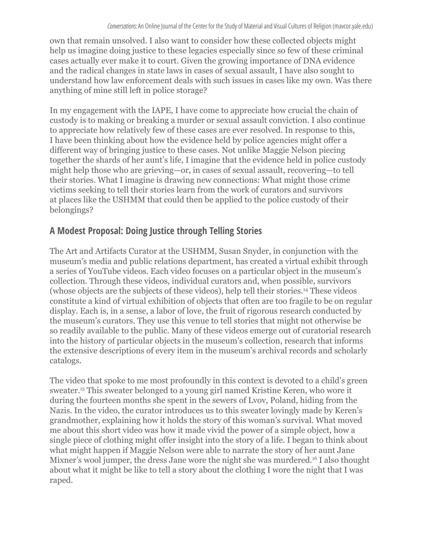own that remain unsolved. I also want to consider how these collected objects might help us imagine doing justice to these legacies especially since so few of these criminal cases actually ever make it to court. Given the growing importance of DNA evidence and the radical changes in state laws in cases of sexual assault, I have also sought to understand how law enforcement deals with such issues in cases like my own. Was there anything of mine still left in police storage?

In my engagement with the IAPE, I have come to appreciate how crucial the chain of custody is to making or breaking a murder or sexual assault conviction. I also continue to appreciate how relatively few of these cases are ever resolved. In response to this, I have been thinking about how the evidence held by police agencies might offer a different way of bringing justice to these cases. Not unlike Maggie Nelson piecing together the shards of her aunt's life, I imagine that the evidence held in police custody might help those who are grieving—or, in cases of sexual assault, recovering—to tell their stories. What I imagine is drawing new connections: What might those crime victims seeking to tell their stories learn from the work of curators and survivors at places like the USHMM that could then be applied to the police custody of their belongings?

### **A Modest Proposal: Doing Justice through Telling Stories**

The Art and Artifacts Curator at the USHMM, Susan Snyder, in conjunction with the museum's media and public relations department, has created a virtual exhibit through a series of YouTube videos. Each video focuses on a particular object in the museum's collection. Through these videos, individual curators and, when possible, survivors (whose objects are the subjects of these videos), help tell their stories.14 These videos constitute a kind of virtual exhibition of objects that often are too fragile to be on regular display. Each is, in a sense, a labor of love, the fruit of rigorous research conducted by the museum's curators. They use this venue to tell stories that might not otherwise be so readily available to the public. Many of these videos emerge out of curatorial research into the history of particular objects in the museum's collection, research that informs the extensive descriptions of every item in the museum's archival records and scholarly catalogs.

The video that spoke to me most profoundly in this context is devoted to a child's green sweater.15 This sweater belonged to a young girl named Kristine Keren, who wore it during the fourteen months she spent in the sewers of Lvov, Poland, hiding from the Nazis. In the video, the curator introduces us to this sweater lovingly made by Keren's grandmother, explaining how it holds the story of this woman's survival. What moved me about this short video was how it made vivid the power of a simple object, how a single piece of clothing might offer insight into the story of a life. I began to think about what might happen if Maggie Nelson were able to narrate the story of her aunt Jane Mixner's wool jumper, the dress Jane wore the night she was murdered.16 I also thought about what it might be like to tell a story about the clothing I wore the night that I was raped.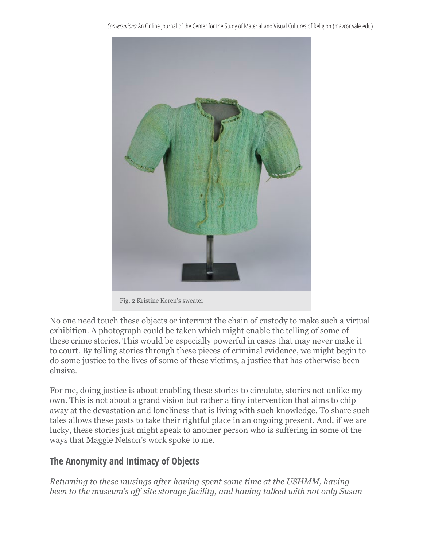

Fig. 2 Kristine Keren's sweater

No one need touch these objects or interrupt the chain of custody to make such a virtual exhibition. A photograph could be taken which might enable the telling of some of these crime stories. This would be especially powerful in cases that may never make it to court. By telling stories through these pieces of criminal evidence, we might begin to do some justice to the lives of some of these victims, a justice that has otherwise been elusive.

For me, doing justice is about enabling these stories to circulate, stories not unlike my own. This is not about a grand vision but rather a tiny intervention that aims to chip away at the devastation and loneliness that is living with such knowledge. To share such tales allows these pasts to take their rightful place in an ongoing present. And, if we are lucky, these stories just might speak to another person who is suffering in some of the ways that Maggie Nelson's work spoke to me.

### **The Anonymity and Intimacy of Objects**

*Returning to these musings after having spent some time at the USHMM, having been to the museum's off-site storage facility, and having talked with not only Susan*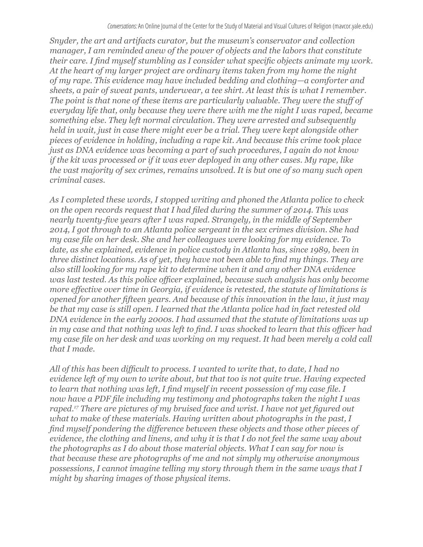*Snyder, the art and artifacts curator, but the museum's conservator and collection manager, I am reminded anew of the power of objects and the labors that constitute their care. I find myself stumbling as I consider what specific objects animate my work. At the heart of my larger project are ordinary items taken from my home the night of my rape. This evidence may have included bedding and clothing—a comforter and sheets, a pair of sweat pants, underwear, a tee shirt. At least this is what I remember. The point is that none of these items are particularly valuable. They were the stuff of everyday life that, only because they were there with me the night I was raped, became something else. They left normal circulation. They were arrested and subsequently held in wait, just in case there might ever be a trial. They were kept alongside other pieces of evidence in holding, including a rape kit. And because this crime took place just as DNA evidence was becoming a part of such procedures, I again do not know if the kit was processed or if it was ever deployed in any other cases. My rape, like the vast majority of sex crimes, remains unsolved. It is but one of so many such open criminal cases.* 

*As I completed these words, I stopped writing and phoned the Atlanta police to check on the open records request that I had filed during the summer of 2014. This was nearly twenty-five years after I was raped. Strangely, in the middle of September 2014, I got through to an Atlanta police sergeant in the sex crimes division. She had my case file on her desk. She and her colleagues were looking for my evidence. To date, as she explained, evidence in police custody in Atlanta has, since 1989, been in three distinct locations. As of yet, they have not been able to find my things. They are also still looking for my rape kit to determine when it and any other DNA evidence was last tested. As this police officer explained, because such analysis has only become more effective over time in Georgia, if evidence is retested, the statute of limitations is opened for another fifteen years. And because of this innovation in the law, it just may be that my case is still open. I learned that the Atlanta police had in fact retested old DNA evidence in the early 2000s. I had assumed that the statute of limitations was up in my case and that nothing was left to find. I was shocked to learn that this officer had my case file on her desk and was working on my request. It had been merely a cold call that I made.*

*All of this has been difficult to process. I wanted to write that, to date, I had no evidence left of my own to write about, but that too is not quite true. Having expected to learn that nothing was left, I find myself in recent possession of my case file. I now have a PDF file including my testimony and photographs taken the night I was raped.<sup>17</sup> There are pictures of my bruised face and wrist. I have not yet figured out what to make of these materials. Having written about photographs in the past, I find myself pondering the difference between these objects and those other pieces of evidence, the clothing and linens, and why it is that I do not feel the same way about the photographs as I do about those material objects. What I can say for now is that because these are photographs of me and not simply my otherwise anonymous possessions, I cannot imagine telling my story through them in the same ways that I might by sharing images of those physical items.*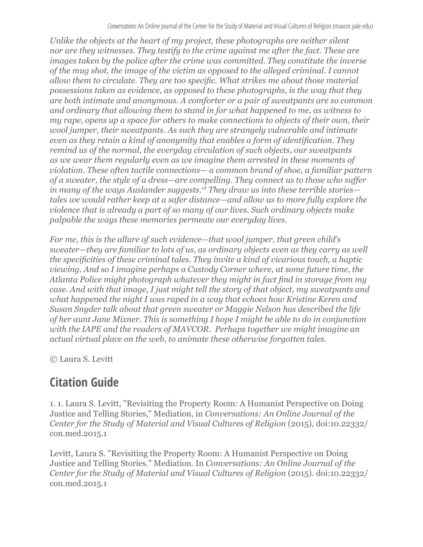*Unlike the objects at the heart of my project, these photographs are neither silent nor are they witnesses. They testify to the crime against me after the fact. These are images taken by the police after the crime was committed. They constitute the inverse of the mug shot, the image of the victim as opposed to the alleged criminal. I cannot allow them to circulate. They are too specific. What strikes me about those material possessions taken as evidence, as opposed to these photographs, is the way that they are both intimate and anonymous. A comforter or a pair of sweatpants are so common and ordinary that allowing them to stand in for what happened to me, as witness to my rape, opens up a space for others to make connections to objects of their own, their wool jumper, their sweatpants. As such they are strangely vulnerable and intimate even as they retain a kind of anonymity that enables a form of identification. They remind us of the normal, the everyday circulation of such objects, our sweatpants as we wear them regularly even as we imagine them arrested in these moments of violation. These often tactile connections— a common brand of shoe, a familiar pattern of a sweater, the style of a dress—are compelling. They connect us to those who suffer in many of the ways Auslander suggests.18 They draw us into these terrible stories tales we would rather keep at a safer distance—and allow us to more fully explore the violence that is already a part of so many of our lives. Such ordinary objects make palpable the ways these memories permeate our everyday lives.* 

*For me, this is the allure of such evidence—that wool jumper, that green child's sweater—they are familiar to lots of us, as ordinary objects even as they carry as well the specificities of these criminal tales. They invite a kind of vicarious touch, a haptic viewing. And so I imagine perhaps a Custody Corner where, at some future time, the Atlanta Police might photograph whatever they might in fact find in storage from my case. And with that image, I just might tell the story of that object, my sweatpants and what happened the night I was raped in a way that echoes how Kristine Keren and Susan Snyder talk about that green sweater or Maggie Nelson has described the life of her aunt Jane Mixner. This is something I hope I might be able to do in conjunction with the IAPE and the readers of MAVCOR. Perhaps together we might imagine an actual virtual place on the web, to animate these otherwise forgotten tales.* 

© Laura S. Levitt

# **Citation Guide**

1. 1. Laura S. Levitt, "Revisiting the Property Room: A Humanist Perspective on Doing Justice and Telling Stories," Mediation, in *Conversations: An Online Journal of the Center for the Study of Material and Visual Cultures of Religion* (2015), doi:10.22332/ con.med.2015.1

Levitt, Laura S. "Revisiting the Property Room: A Humanist Perspective on Doing Justice and Telling Stories." Mediation. In *Conversations: An Online Journal of the Center for the Study of Material and Visual Cultures of Religion* (2015). doi:10.22332/ con.med.2015.1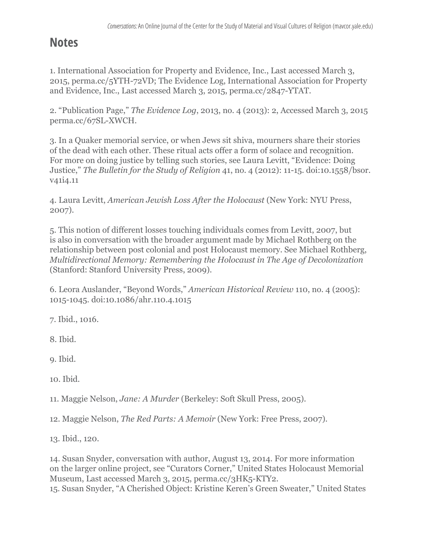## **Notes**

1. International Association for Property and Evidence, Inc., Last accessed March 3, 2015, perma.cc/5YTH-72VD; The Evidence Log, International Association for Property and Evidence, Inc., Last accessed March 3, 2015, perma.cc/2847-YTAT.

2. "Publication Page," *The Evidence Log*, 2013, no. 4 (2013): 2, Accessed March 3, 2015 perma.cc/67SL-XWCH.

3. In a Quaker memorial service, or when Jews sit shiva, mourners share their stories of the dead with each other. These ritual acts offer a form of solace and recognition. For more on doing justice by telling such stories, see Laura Levitt, "Evidence: Doing Justice," *The Bulletin for the Study of Religion* 41, no. 4 (2012): 11-15. doi:10.1558/bsor. v41i4.11

4. Laura Levitt, *American Jewish Loss After the Holocaust* (New York: NYU Press, 2007).

5. This notion of different losses touching individuals comes from Levitt, 2007, but is also in conversation with the broader argument made by Michael Rothberg on the relationship between post colonial and post Holocaust memory. See Michael Rothberg, *Multidirectional Memory: Remembering the Holocaust in The Age of Decolonization*  (Stanford: Stanford University Press, 2009).

6. Leora Auslander, "Beyond Words," *American Historical Review* 110, no. 4 (2005): 1015-1045. doi:10.1086/ahr.110.4.1015

7. Ibid., 1016.

8. Ibid.

9. Ibid.

10. Ibid.

11. Maggie Nelson, *Jane: A Murder* (Berkeley: Soft Skull Press, 2005).

12. Maggie Nelson, *The Red Parts: A Memoir* (New York: Free Press, 2007).

13. Ibid., 120.

14. Susan Snyder, conversation with author, August 13, 2014. For more information on the larger online project, see "Curators Corner," United States Holocaust Memorial Museum, Last accessed March 3, 2015, perma.cc/3HK5-KTY2. 15. Susan Snyder, "A Cherished Object: Kristine Keren's Green Sweater," United States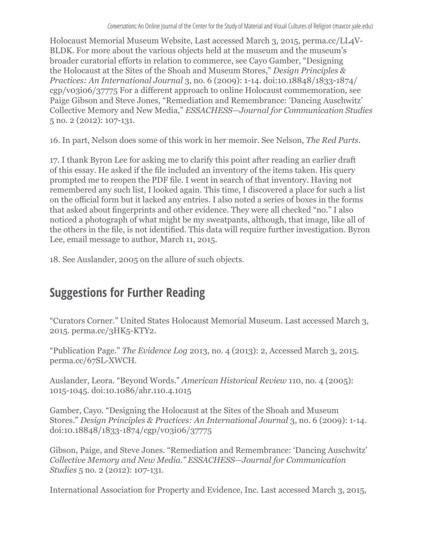Holocaust Memorial Museum Website, Last accessed March 3, 2015, perma.cc/LL4V-BLDK. For more about the various objects held at the museum and the museum's broader curatorial efforts in relation to commerce, see Cayo Gamber, "Designing the Holocaust at the Sites of the Shoah and Museum Stores," *Design Principles & Practices: An International Journal* 3, no. 6 (2009): 1-14. doi:10.18848/1833-1874/ cgp/v03i06/37775 For a different approach to online Holocaust commemoration, see Paige Gibson and Steve Jones, "Remediation and Remembrance: 'Dancing Auschwitz' Collective Memory and New Media," *ESSACHESS—Journal for Communication Studies*  5 no. 2 (2012): 107-131.

16. In part, Nelson does some of this work in her memoir. See Nelson, *The Red Parts.*

17. I thank Byron Lee for asking me to clarify this point after reading an earlier draft of this essay. He asked if the file included an inventory of the items taken. His query prompted me to reopen the PDF file. I went in search of that inventory. Having not remembered any such list, I looked again. This time, I discovered a place for such a list on the official form but it lacked any entries. I also noted a series of boxes in the forms that asked about fingerprints and other evidence. They were all checked "no." I also noticed a photograph of what might be my sweatpants, although, that image, like all of the others in the file, is not identified. This data will require further investigation. Byron Lee, email message to author, March 11, 2015.

18. See Auslander, 2005 on the allure of such objects.

## **Suggestions for Further Reading**

"Curators Corner." United States Holocaust Memorial Museum. Last accessed March 3, 2015. perma.cc/3HK5-KTY2.

"Publication Page." *The Evidence Log* 2013, no. 4 (2013): 2, Accessed March 3, 2015. perma.cc/67SL-XWCH.

Auslander, Leora. "Beyond Words." *American Historical Review* 110, no. 4 (2005): 1015-1045. doi:10.1086/ahr.110.4.1015

Gamber, Cayo. "Designing the Holocaust at the Sites of the Shoah and Museum Stores." *Design Principles & Practices: An International Journal* 3, no. 6 (2009): 1-14. doi:10.18848/1833-1874/cgp/v03i06/37775

Gibson, Paige, and Steve Jones. "Remediation and Remembrance: 'Dancing Auschwitz' *Collective Memory and New Media." ESSACHESS—Journal for Communication Studies* 5 no. 2 (2012): 107-131.

International Association for Property and Evidence, Inc. Last accessed March 3, 2015,